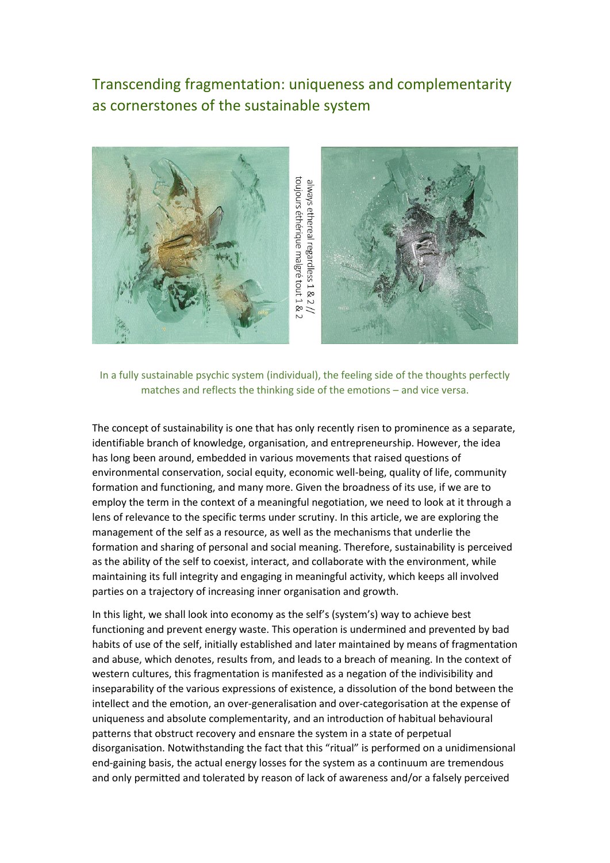## Transcending fragmentation: uniqueness and complementarity as cornerstones of the sustainable system



In a fully sustainable psychic system (individual), the feeling side of the thoughts perfectly matches and reflects the thinking side of the emotions – and vice versa.

The concept of sustainability is one that has only recently risen to prominence as a separate, identifiable branch of knowledge, organisation, and entrepreneurship. However, the idea has long been around, embedded in various movements that raised questions of environmental conservation, social equity, economic well-being, quality of life, community formation and functioning, and many more. Given the broadness of its use, if we are to employ the term in the context of a meaningful negotiation, we need to look at it through a lens of relevance to the specific terms under scrutiny. In this article, we are exploring the management of the self as a resource, as well as the mechanisms that underlie the formation and sharing of personal and social meaning. Therefore, sustainability is perceived as the ability of the self to coexist, interact, and collaborate with the environment, while maintaining its full integrity and engaging in meaningful activity, which keeps all involved parties on a trajectory of increasing inner organisation and growth.

In this light, we shall look into economy as the self's (system's) way to achieve best functioning and prevent energy waste. This operation is undermined and prevented by bad habits of use of the self, initially established and later maintained by means of fragmentation and abuse, which denotes, results from, and leads to a breach of meaning. In the context of western cultures, this fragmentation is manifested as a negation of the indivisibility and inseparability of the various expressions of existence, a dissolution of the bond between the intellect and the emotion, an over-generalisation and over-categorisation at the expense of uniqueness and absolute complementarity, and an introduction of habitual behavioural patterns that obstruct recovery and ensnare the system in a state of perpetual disorganisation. Notwithstanding the fact that this "ritual" is performed on a unidimensional end-gaining basis, the actual energy losses for the system as a continuum are tremendous and only permitted and tolerated by reason of lack of awareness and/or a falsely perceived